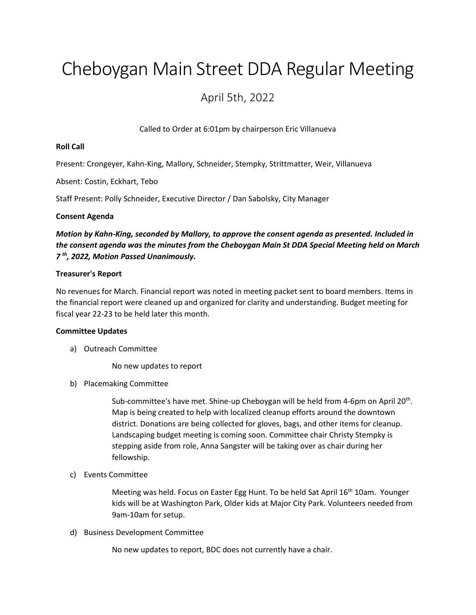# Cheboygan Main Street DDA Regular Meeting

# April 5th, 2022

Called to Order at 6:01pm by chairperson Eric Villanueva

## **Roll Call**

Present: Crongeyer, Kahn-King, Mallory, Schneider, Stempky, Strittmatter, Weir, Villanueva

Absent: Costin, Eckhart, Tebo

Staff Present: Polly Schneider, Executive Director / Dan Sabolsky, City Manager

### **Consent Agenda**

*Motion by Kahn-King, seconded by Mallory, to approve the consent agenda as presented. Included in the consent agenda was the minutes from the Cheboygan Main St DDA Special Meeting held on March 7 th , 2022, Motion Passed Unanimously.*

### **Treasurer's Report**

No revenues for March. Financial report was noted in meeting packet sent to board members. Items in the financial report were cleaned up and organized for clarity and understanding. Budget meeting for fiscal year 22-23 to be held later this month.

#### **Committee Updates**

a) Outreach Committee

No new updates to report

b) Placemaking Committee

Sub-committee's have met. Shine-up Cheboygan will be held from 4-6pm on April 20<sup>th</sup>. Map is being created to help with localized cleanup efforts around the downtown district. Donations are being collected for gloves, bags, and other items for cleanup. Landscaping budget meeting is coming soon. Committee chair Christy Stempky is stepping aside from role, Anna Sangster will be taking over as chair during her fellowship.

c) Events Committee

Meeting was held. Focus on Easter Egg Hunt. To be held Sat April 16th 10am. Younger kids will be at Washington Park, Older kids at Major City Park. Volunteers needed from 9am-10am for setup.

d) Business Development Committee

No new updates to report, BDC does not currently have a chair.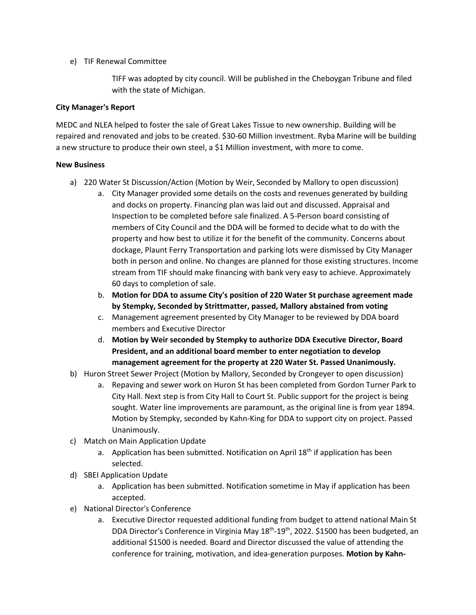# e) TIF Renewal Committee

TIFF was adopted by city council. Will be published in the Cheboygan Tribune and filed with the state of Michigan.

# **City Manager's Report**

MEDC and NLEA helped to foster the sale of Great Lakes Tissue to new ownership. Building will be repaired and renovated and jobs to be created. \$30-60 Million investment. Ryba Marine will be building a new structure to produce their own steel, a \$1 Million investment, with more to come.

# **New Business**

- a) 220 Water St Discussion/Action (Motion by Weir, Seconded by Mallory to open discussion)
	- a. City Manager provided some details on the costs and revenues generated by building and docks on property. Financing plan was laid out and discussed. Appraisal and Inspection to be completed before sale finalized. A 5-Person board consisting of members of City Council and the DDA will be formed to decide what to do with the property and how best to utilize it for the benefit of the community. Concerns about dockage, Plaunt Ferry Transportation and parking lots were dismissed by City Manager both in person and online. No changes are planned for those existing structures. Income stream from TIF should make financing with bank very easy to achieve. Approximately 60 days to completion of sale.
	- b. **Motion for DDA to assume City's position of 220 Water St purchase agreement made by Stempky, Seconded by Strittmatter, passed, Mallory abstained from voting**
	- c. Management agreement presented by City Manager to be reviewed by DDA board members and Executive Director
	- d. **Motion by Weir seconded by Stempky to authorize DDA Executive Director, Board President, and an additional board member to enter negotiation to develop management agreement for the property at 220 Water St. Passed Unanimously.**
- b) Huron Street Sewer Project (Motion by Mallory, Seconded by Crongeyer to open discussion)
	- a. Repaving and sewer work on Huron St has been completed from Gordon Turner Park to City Hall. Next step is from City Hall to Court St. Public support for the project is being sought. Water line improvements are paramount, as the original line is from year 1894. Motion by Stempky, seconded by Kahn-King for DDA to support city on project. Passed Unanimously.
- c) Match on Main Application Update
	- a. Application has been submitted. Notification on April  $18<sup>th</sup>$  if application has been selected.
- d) SBEI Application Update
	- a. Application has been submitted. Notification sometime in May if application has been accepted.
- e) National Director's Conference
	- a. Executive Director requested additional funding from budget to attend national Main St DDA Director's Conference in Virginia May 18<sup>th</sup>-19<sup>th</sup>, 2022. \$1500 has been budgeted, an additional \$1500 is needed. Board and Director discussed the value of attending the conference for training, motivation, and idea-generation purposes. **Motion by Kahn-**